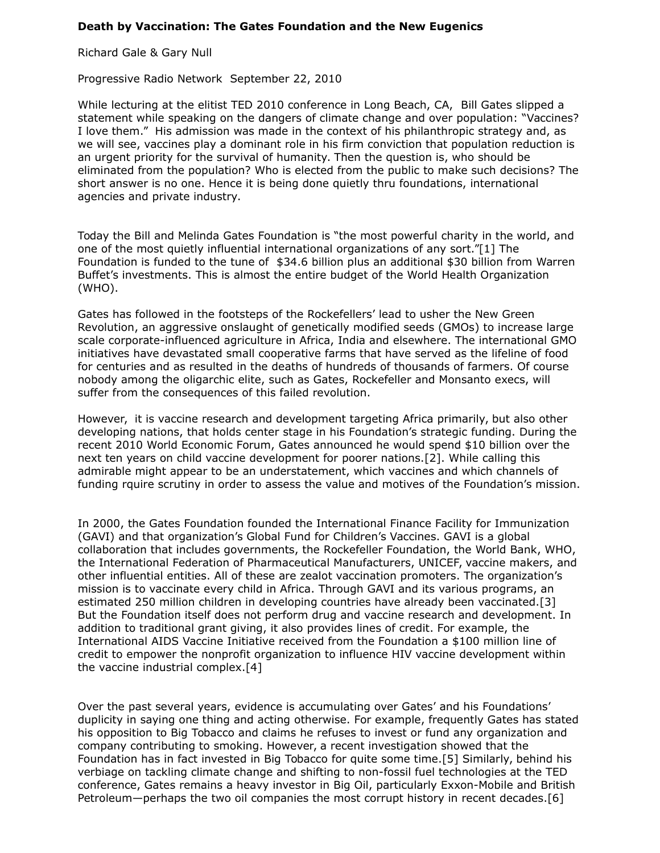## **Death by Vaccination: The Gates Foundation and the New Eugenics**

Richard Gale & Gary Null

Progressive Radio Network September 22, 2010

While lecturing at the elitist TED 2010 conference in Long Beach, CA, Bill Gates slipped a statement while speaking on the dangers of climate change and over population: "Vaccines? I love them." His admission was made in the context of his philanthropic strategy and, as we will see, vaccines play a dominant role in his firm conviction that population reduction is an urgent priority for the survival of humanity. Then the question is, who should be eliminated from the population? Who is elected from the public to make such decisions? The short answer is no one. Hence it is being done quietly thru foundations, international agencies and private industry.

Today the Bill and Melinda Gates Foundation is "the most powerful charity in the world, and one of the most quietly influential international organizations of any sort."[1] The Foundation is funded to the tune of \$34.6 billion plus an additional \$30 billion from Warren Buffet's investments. This is almost the entire budget of the World Health Organization (WHO).

Gates has followed in the footsteps of the Rockefellers' lead to usher the New Green Revolution, an aggressive onslaught of genetically modified seeds (GMOs) to increase large scale corporate-influenced agriculture in Africa, India and elsewhere. The international GMO initiatives have devastated small cooperative farms that have served as the lifeline of food for centuries and as resulted in the deaths of hundreds of thousands of farmers. Of course nobody among the oligarchic elite, such as Gates, Rockefeller and Monsanto execs, will suffer from the consequences of this failed revolution.

However, it is vaccine research and development targeting Africa primarily, but also other developing nations, that holds center stage in his Foundation's strategic funding. During the recent 2010 World Economic Forum, Gates announced he would spend \$10 billion over the next ten years on child vaccine development for poorer nations.[2]. While calling this admirable might appear to be an understatement, which vaccines and which channels of funding rquire scrutiny in order to assess the value and motives of the Foundation's mission.

In 2000, the Gates Foundation founded the International Finance Facility for Immunization (GAVI) and that organization's Global Fund for Children's Vaccines. GAVI is a global collaboration that includes governments, the Rockefeller Foundation, the World Bank, WHO, the International Federation of Pharmaceutical Manufacturers, UNICEF, vaccine makers, and other influential entities. All of these are zealot vaccination promoters. The organization's mission is to vaccinate every child in Africa. Through GAVI and its various programs, an estimated 250 million children in developing countries have already been vaccinated.[3] But the Foundation itself does not perform drug and vaccine research and development. In addition to traditional grant giving, it also provides lines of credit. For example, the International AIDS Vaccine Initiative received from the Foundation a \$100 million line of credit to empower the nonprofit organization to influence HIV vaccine development within the vaccine industrial complex.[4]

Over the past several years, evidence is accumulating over Gates' and his Foundations' duplicity in saying one thing and acting otherwise. For example, frequently Gates has stated his opposition to Big Tobacco and claims he refuses to invest or fund any organization and company contributing to smoking. However, a recent investigation showed that the Foundation has in fact invested in Big Tobacco for quite some time.[5] Similarly, behind his verbiage on tackling climate change and shifting to non-fossil fuel technologies at the TED conference, Gates remains a heavy investor in Big Oil, particularly Exxon-Mobile and British Petroleum—perhaps the two oil companies the most corrupt history in recent decades.[6]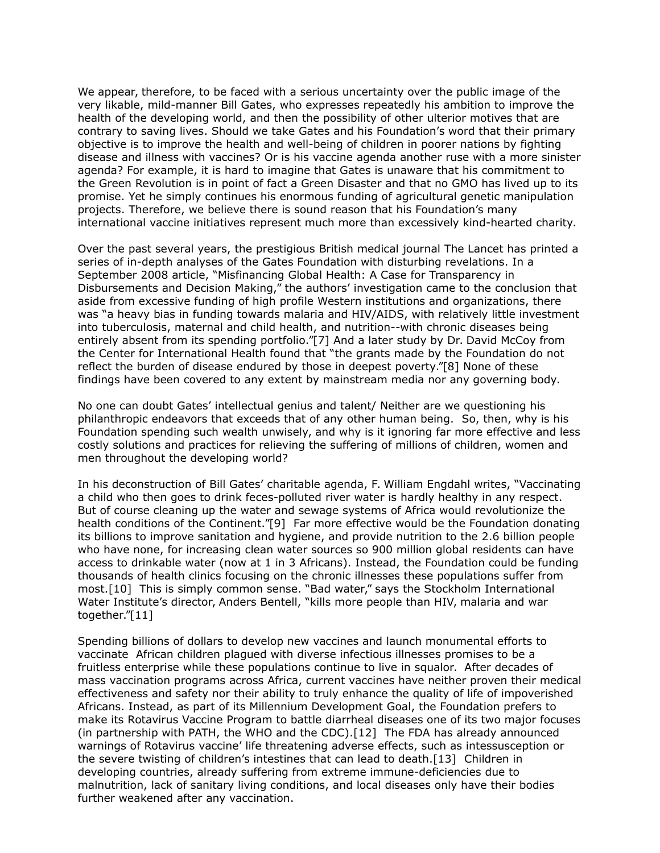We appear, therefore, to be faced with a serious uncertainty over the public image of the very likable, mild-manner Bill Gates, who expresses repeatedly his ambition to improve the health of the developing world, and then the possibility of other ulterior motives that are contrary to saving lives. Should we take Gates and his Foundation's word that their primary objective is to improve the health and well-being of children in poorer nations by fighting disease and illness with vaccines? Or is his vaccine agenda another ruse with a more sinister agenda? For example, it is hard to imagine that Gates is unaware that his commitment to the Green Revolution is in point of fact a Green Disaster and that no GMO has lived up to its promise. Yet he simply continues his enormous funding of agricultural genetic manipulation projects. Therefore, we believe there is sound reason that his Foundation's many international vaccine initiatives represent much more than excessively kind-hearted charity.

Over the past several years, the prestigious British medical journal The Lancet has printed a series of in-depth analyses of the Gates Foundation with disturbing revelations. In a September 2008 article, "Misfinancing Global Health: A Case for Transparency in Disbursements and Decision Making," the authors' investigation came to the conclusion that aside from excessive funding of high profile Western institutions and organizations, there was "a heavy bias in funding towards malaria and HIV/AIDS, with relatively little investment into tuberculosis, maternal and child health, and nutrition--with chronic diseases being entirely absent from its spending portfolio."[7] And a later study by Dr. David McCoy from the Center for International Health found that "the grants made by the Foundation do not reflect the burden of disease endured by those in deepest poverty."[8] None of these findings have been covered to any extent by mainstream media nor any governing body.

No one can doubt Gates' intellectual genius and talent/ Neither are we questioning his philanthropic endeavors that exceeds that of any other human being. So, then, why is his Foundation spending such wealth unwisely, and why is it ignoring far more effective and less costly solutions and practices for relieving the suffering of millions of children, women and men throughout the developing world?

In his deconstruction of Bill Gates' charitable agenda, F. William Engdahl writes, "Vaccinating a child who then goes to drink feces-polluted river water is hardly healthy in any respect. But of course cleaning up the water and sewage systems of Africa would revolutionize the health conditions of the Continent."[9] Far more effective would be the Foundation donating its billions to improve sanitation and hygiene, and provide nutrition to the 2.6 billion people who have none, for increasing clean water sources so 900 million global residents can have access to drinkable water (now at 1 in 3 Africans). Instead, the Foundation could be funding thousands of health clinics focusing on the chronic illnesses these populations suffer from most.[10] This is simply common sense. "Bad water," says the Stockholm International Water Institute's director, Anders Bentell, "kills more people than HIV, malaria and war together."[11]

Spending billions of dollars to develop new vaccines and launch monumental efforts to vaccinate African children plagued with diverse infectious illnesses promises to be a fruitless enterprise while these populations continue to live in squalor. After decades of mass vaccination programs across Africa, current vaccines have neither proven their medical effectiveness and safety nor their ability to truly enhance the quality of life of impoverished Africans. Instead, as part of its Millennium Development Goal, the Foundation prefers to make its Rotavirus Vaccine Program to battle diarrheal diseases one of its two major focuses (in partnership with PATH, the WHO and the CDC).[12] The FDA has already announced warnings of Rotavirus vaccine' life threatening adverse effects, such as intessusception or the severe twisting of children's intestines that can lead to death.[13] Children in developing countries, already suffering from extreme immune-deficiencies due to malnutrition, lack of sanitary living conditions, and local diseases only have their bodies further weakened after any vaccination.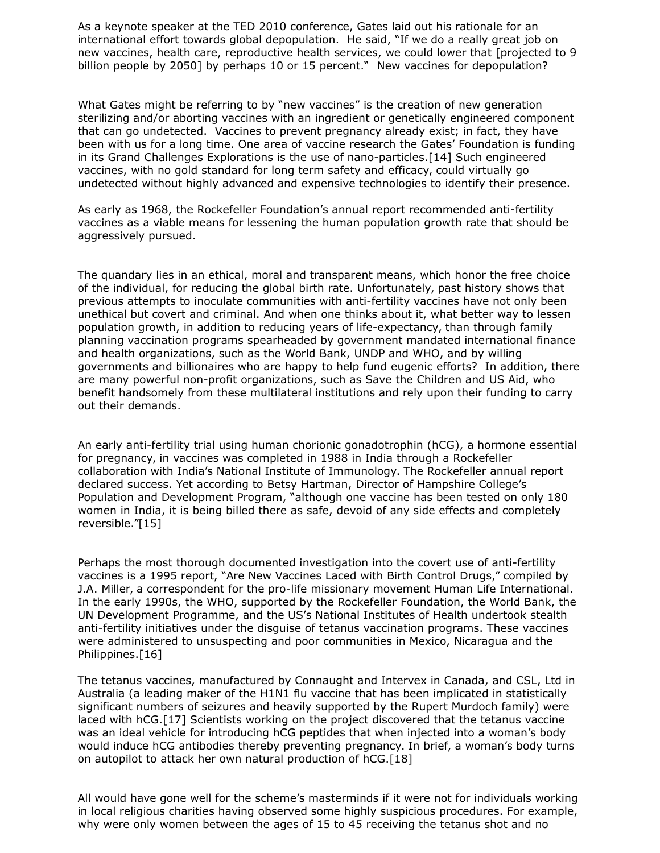As a keynote speaker at the TED 2010 conference, Gates laid out his rationale for an international effort towards global depopulation. He said, "If we do a really great job on new vaccines, health care, reproductive health services, we could lower that [projected to 9 billion people by 2050] by perhaps 10 or 15 percent." New vaccines for depopulation?

What Gates might be referring to by "new vaccines" is the creation of new generation sterilizing and/or aborting vaccines with an ingredient or genetically engineered component that can go undetected. Vaccines to prevent pregnancy already exist; in fact, they have been with us for a long time. One area of vaccine research the Gates' Foundation is funding in its Grand Challenges Explorations is the use of nano-particles.[14] Such engineered vaccines, with no gold standard for long term safety and efficacy, could virtually go undetected without highly advanced and expensive technologies to identify their presence.

As early as 1968, the Rockefeller Foundation's annual report recommended anti-fertility vaccines as a viable means for lessening the human population growth rate that should be aggressively pursued.

The quandary lies in an ethical, moral and transparent means, which honor the free choice of the individual, for reducing the global birth rate. Unfortunately, past history shows that previous attempts to inoculate communities with anti-fertility vaccines have not only been unethical but covert and criminal. And when one thinks about it, what better way to lessen population growth, in addition to reducing years of life-expectancy, than through family planning vaccination programs spearheaded by government mandated international finance and health organizations, such as the World Bank, UNDP and WHO, and by willing governments and billionaires who are happy to help fund eugenic efforts? In addition, there are many powerful non-profit organizations, such as Save the Children and US Aid, who benefit handsomely from these multilateral institutions and rely upon their funding to carry out their demands.

An early anti-fertility trial using human chorionic gonadotrophin (hCG), a hormone essential for pregnancy, in vaccines was completed in 1988 in India through a Rockefeller collaboration with India's National Institute of Immunology. The Rockefeller annual report declared success. Yet according to Betsy Hartman, Director of Hampshire College's Population and Development Program, "although one vaccine has been tested on only 180 women in India, it is being billed there as safe, devoid of any side effects and completely reversible."[15]

Perhaps the most thorough documented investigation into the covert use of anti-fertility vaccines is a 1995 report, "Are New Vaccines Laced with Birth Control Drugs," compiled by J.A. Miller, a correspondent for the pro-life missionary movement Human Life International. In the early 1990s, the WHO, supported by the Rockefeller Foundation, the World Bank, the UN Development Programme, and the US's National Institutes of Health undertook stealth anti-fertility initiatives under the disguise of tetanus vaccination programs. These vaccines were administered to unsuspecting and poor communities in Mexico, Nicaragua and the Philippines.[16]

The tetanus vaccines, manufactured by Connaught and Intervex in Canada, and CSL, Ltd in Australia (a leading maker of the H1N1 flu vaccine that has been implicated in statistically significant numbers of seizures and heavily supported by the Rupert Murdoch family) were laced with hCG.[17] Scientists working on the project discovered that the tetanus vaccine was an ideal vehicle for introducing hCG peptides that when injected into a woman's body would induce hCG antibodies thereby preventing pregnancy. In brief, a woman's body turns on autopilot to attack her own natural production of hCG.[18]

All would have gone well for the scheme's masterminds if it were not for individuals working in local religious charities having observed some highly suspicious procedures. For example, why were only women between the ages of 15 to 45 receiving the tetanus shot and no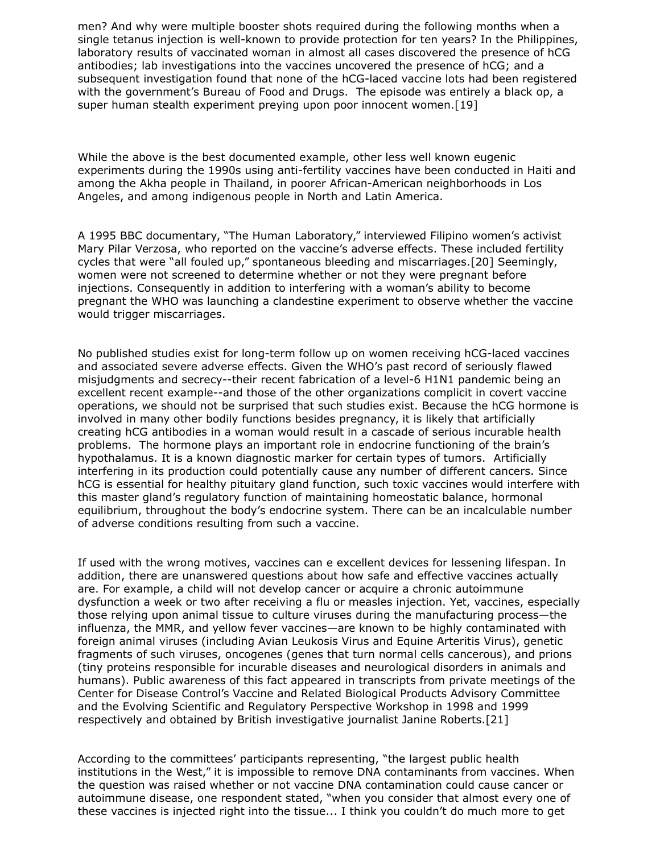men? And why were multiple booster shots required during the following months when a single tetanus injection is well-known to provide protection for ten years? In the Philippines, laboratory results of vaccinated woman in almost all cases discovered the presence of hCG antibodies; lab investigations into the vaccines uncovered the presence of hCG; and a subsequent investigation found that none of the hCG-laced vaccine lots had been registered with the government's Bureau of Food and Drugs. The episode was entirely a black op, a super human stealth experiment preying upon poor innocent women.[19]

While the above is the best documented example, other less well known eugenic experiments during the 1990s using anti-fertility vaccines have been conducted in Haiti and among the Akha people in Thailand, in poorer African-American neighborhoods in Los Angeles, and among indigenous people in North and Latin America.

A 1995 BBC documentary, "The Human Laboratory," interviewed Filipino women's activist Mary Pilar Verzosa, who reported on the vaccine's adverse effects. These included fertility cycles that were "all fouled up," spontaneous bleeding and miscarriages.[20] Seemingly, women were not screened to determine whether or not they were pregnant before injections. Consequently in addition to interfering with a woman's ability to become pregnant the WHO was launching a clandestine experiment to observe whether the vaccine would trigger miscarriages.

No published studies exist for long-term follow up on women receiving hCG-laced vaccines and associated severe adverse effects. Given the WHO's past record of seriously flawed misjudgments and secrecy--their recent fabrication of a level-6 H1N1 pandemic being an excellent recent example--and those of the other organizations complicit in covert vaccine operations, we should not be surprised that such studies exist. Because the hCG hormone is involved in many other bodily functions besides pregnancy, it is likely that artificially creating hCG antibodies in a woman would result in a cascade of serious incurable health problems. The hormone plays an important role in endocrine functioning of the brain's hypothalamus. It is a known diagnostic marker for certain types of tumors. Artificially interfering in its production could potentially cause any number of different cancers. Since hCG is essential for healthy pituitary gland function, such toxic vaccines would interfere with this master gland's regulatory function of maintaining homeostatic balance, hormonal equilibrium, throughout the body's endocrine system. There can be an incalculable number of adverse conditions resulting from such a vaccine.

If used with the wrong motives, vaccines can e excellent devices for lessening lifespan. In addition, there are unanswered questions about how safe and effective vaccines actually are. For example, a child will not develop cancer or acquire a chronic autoimmune dysfunction a week or two after receiving a flu or measles injection. Yet, vaccines, especially those relying upon animal tissue to culture viruses during the manufacturing process—the influenza, the MMR, and yellow fever vaccines—are known to be highly contaminated with foreign animal viruses (including Avian Leukosis Virus and Equine Arteritis Virus), genetic fragments of such viruses, oncogenes (genes that turn normal cells cancerous), and prions (tiny proteins responsible for incurable diseases and neurological disorders in animals and humans). Public awareness of this fact appeared in transcripts from private meetings of the Center for Disease Control's Vaccine and Related Biological Products Advisory Committee and the Evolving Scientific and Regulatory Perspective Workshop in 1998 and 1999 respectively and obtained by British investigative journalist Janine Roberts.[21]

According to the committees' participants representing, "the largest public health institutions in the West," it is impossible to remove DNA contaminants from vaccines. When the question was raised whether or not vaccine DNA contamination could cause cancer or autoimmune disease, one respondent stated, "when you consider that almost every one of these vaccines is injected right into the tissue... I think you couldn't do much more to get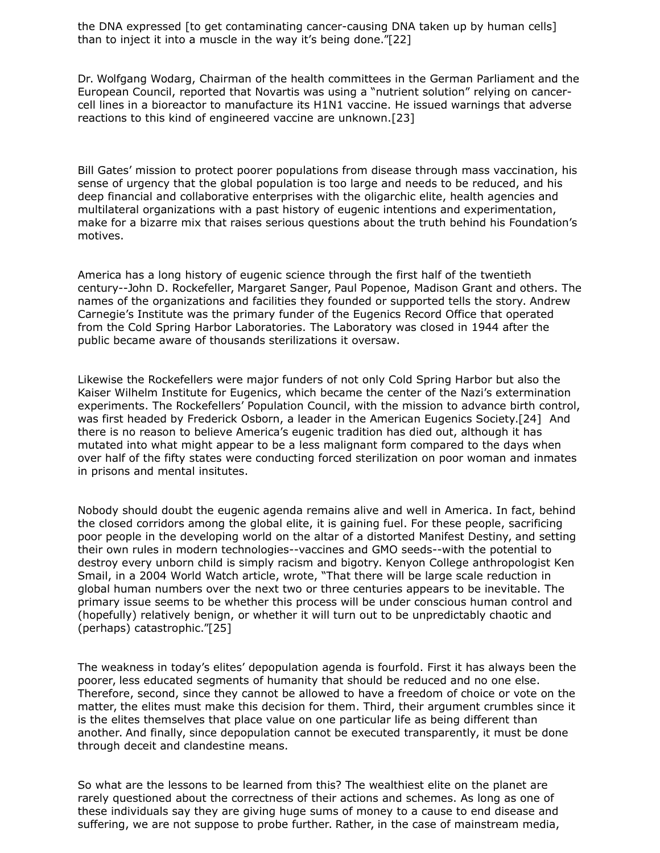the DNA expressed [to get contaminating cancer-causing DNA taken up by human cells] than to inject it into a muscle in the way it's being done."[22]

Dr. Wolfgang Wodarg, Chairman of the health committees in the German Parliament and the European Council, reported that Novartis was using a "nutrient solution" relying on cancercell lines in a bioreactor to manufacture its H1N1 vaccine. He issued warnings that adverse reactions to this kind of engineered vaccine are unknown.[23]

Bill Gates' mission to protect poorer populations from disease through mass vaccination, his sense of urgency that the global population is too large and needs to be reduced, and his deep financial and collaborative enterprises with the oligarchic elite, health agencies and multilateral organizations with a past history of eugenic intentions and experimentation, make for a bizarre mix that raises serious questions about the truth behind his Foundation's motives.

America has a long history of eugenic science through the first half of the twentieth century--John D. Rockefeller, Margaret Sanger, Paul Popenoe, Madison Grant and others. The names of the organizations and facilities they founded or supported tells the story. Andrew Carnegie's Institute was the primary funder of the Eugenics Record Office that operated from the Cold Spring Harbor Laboratories. The Laboratory was closed in 1944 after the public became aware of thousands sterilizations it oversaw.

Likewise the Rockefellers were major funders of not only Cold Spring Harbor but also the Kaiser Wilhelm Institute for Eugenics, which became the center of the Nazi's extermination experiments. The Rockefellers' Population Council, with the mission to advance birth control, was first headed by Frederick Osborn, a leader in the American Eugenics Society.[24] And there is no reason to believe America's eugenic tradition has died out, although it has mutated into what might appear to be a less malignant form compared to the days when over half of the fifty states were conducting forced sterilization on poor woman and inmates in prisons and mental insitutes.

Nobody should doubt the eugenic agenda remains alive and well in America. In fact, behind the closed corridors among the global elite, it is gaining fuel. For these people, sacrificing poor people in the developing world on the altar of a distorted Manifest Destiny, and setting their own rules in modern technologies--vaccines and GMO seeds--with the potential to destroy every unborn child is simply racism and bigotry. Kenyon College anthropologist Ken Smail, in a 2004 World Watch article, wrote, "That there will be large scale reduction in global human numbers over the next two or three centuries appears to be inevitable. The primary issue seems to be whether this process will be under conscious human control and (hopefully) relatively benign, or whether it will turn out to be unpredictably chaotic and (perhaps) catastrophic."[25]

The weakness in today's elites' depopulation agenda is fourfold. First it has always been the poorer, less educated segments of humanity that should be reduced and no one else. Therefore, second, since they cannot be allowed to have a freedom of choice or vote on the matter, the elites must make this decision for them. Third, their argument crumbles since it is the elites themselves that place value on one particular life as being different than another. And finally, since depopulation cannot be executed transparently, it must be done through deceit and clandestine means.

So what are the lessons to be learned from this? The wealthiest elite on the planet are rarely questioned about the correctness of their actions and schemes. As long as one of these individuals say they are giving huge sums of money to a cause to end disease and suffering, we are not suppose to probe further. Rather, in the case of mainstream media,